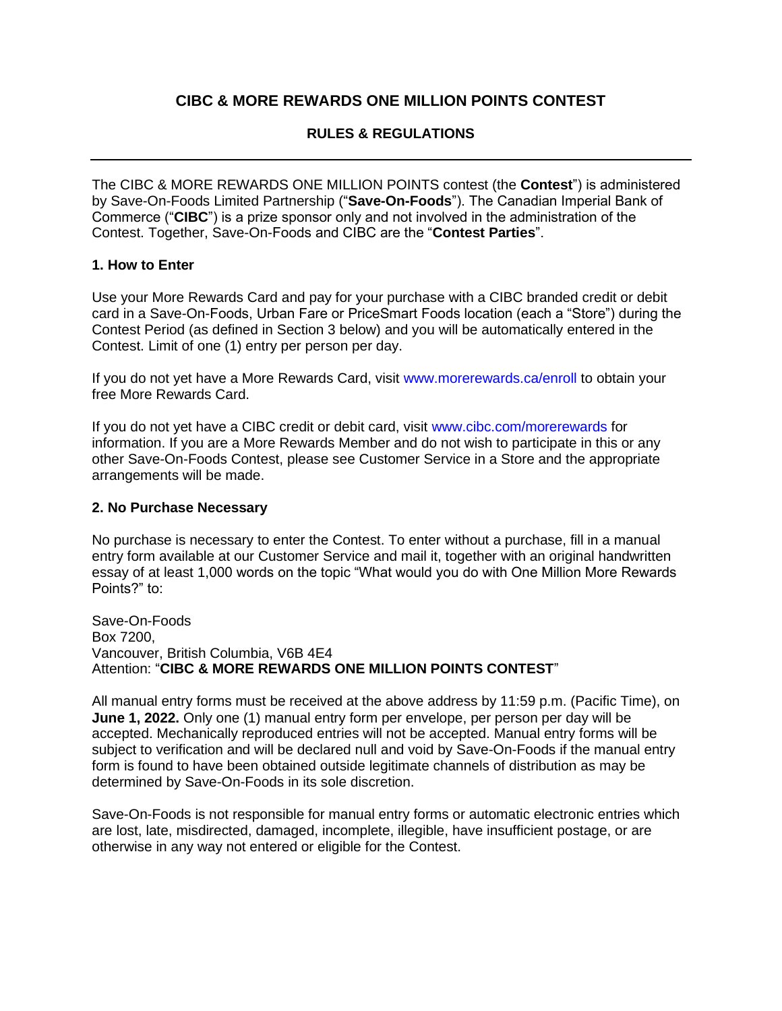# **CIBC & MORE REWARDS ONE MILLION POINTS CONTEST**

# **RULES & REGULATIONS**

The CIBC & MORE REWARDS ONE MILLION POINTS contest (the **Contest**") is administered by Save-On-Foods Limited Partnership ("**Save-On-Foods**"). The Canadian Imperial Bank of Commerce ("**CIBC**") is a prize sponsor only and not involved in the administration of the Contest. Together, Save-On-Foods and CIBC are the "**Contest Parties**".

#### **1. How to Enter**

Use your More Rewards Card and pay for your purchase with a CIBC branded credit or debit card in a Save-On-Foods, Urban Fare or PriceSmart Foods location (each a "Store") during the Contest Period (as defined in Section 3 below) and you will be automatically entered in the Contest. Limit of one (1) entry per person per day.

If you do not yet have a More Rewards Card, visit www.morerewards.ca/enroll to obtain your free More Rewards Card.

If you do not yet have a CIBC credit or debit card, visit www.cibc.com/morerewards for information. If you are a More Rewards Member and do not wish to participate in this or any other Save-On-Foods Contest, please see Customer Service in a Store and the appropriate arrangements will be made.

#### **2. No Purchase Necessary**

No purchase is necessary to enter the Contest. To enter without a purchase, fill in a manual entry form available at our Customer Service and mail it, together with an original handwritten essay of at least 1,000 words on the topic "What would you do with One Million More Rewards Points?" to:

Save-On-Foods Box 7200, Vancouver, British Columbia, V6B 4E4 Attention: "**CIBC & MORE REWARDS ONE MILLION POINTS CONTEST**"

All manual entry forms must be received at the above address by 11:59 p.m. (Pacific Time), on **June 1, 2022.** Only one (1) manual entry form per envelope, per person per day will be accepted. Mechanically reproduced entries will not be accepted. Manual entry forms will be subject to verification and will be declared null and void by Save-On-Foods if the manual entry form is found to have been obtained outside legitimate channels of distribution as may be determined by Save-On-Foods in its sole discretion.

Save-On-Foods is not responsible for manual entry forms or automatic electronic entries which are lost, late, misdirected, damaged, incomplete, illegible, have insufficient postage, or are otherwise in any way not entered or eligible for the Contest.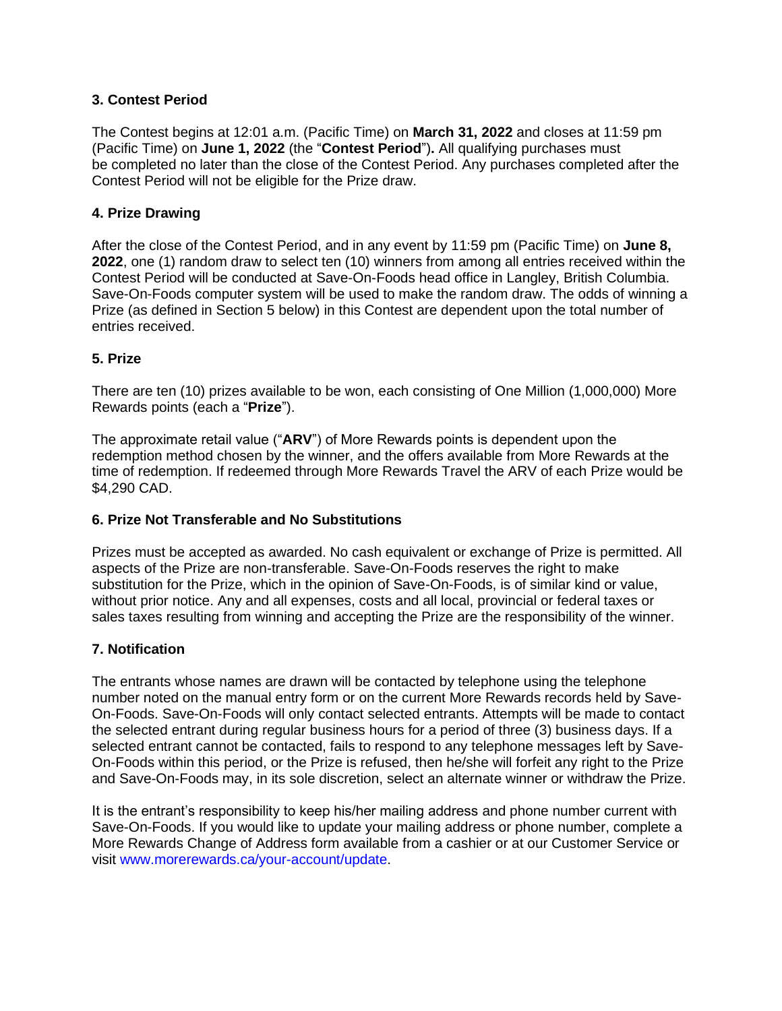## **3. Contest Period**

The Contest begins at 12:01 a.m. (Pacific Time) on **March 31, 2022** and closes at 11:59 pm (Pacific Time) on **June 1, 2022** (the "**Contest Period**")**.** All qualifying purchases must be completed no later than the close of the Contest Period. Any purchases completed after the Contest Period will not be eligible for the Prize draw.

# **4. Prize Drawing**

After the close of the Contest Period, and in any event by 11:59 pm (Pacific Time) on **June 8, 2022**, one (1) random draw to select ten (10) winners from among all entries received within the Contest Period will be conducted at Save-On-Foods head office in Langley, British Columbia. Save-On-Foods computer system will be used to make the random draw. The odds of winning a Prize (as defined in Section 5 below) in this Contest are dependent upon the total number of entries received.

### **5. Prize**

There are ten (10) prizes available to be won, each consisting of One Million (1,000,000) More Rewards points (each a "**Prize**").

The approximate retail value ("**ARV**") of More Rewards points is dependent upon the redemption method chosen by the winner, and the offers available from More Rewards at the time of redemption. If redeemed through More Rewards Travel the ARV of each Prize would be \$4,290 CAD.

### **6. Prize Not Transferable and No Substitutions**

Prizes must be accepted as awarded. No cash equivalent or exchange of Prize is permitted. All aspects of the Prize are non-transferable. Save-On-Foods reserves the right to make substitution for the Prize, which in the opinion of Save-On-Foods, is of similar kind or value, without prior notice. Any and all expenses, costs and all local, provincial or federal taxes or sales taxes resulting from winning and accepting the Prize are the responsibility of the winner.

### **7. Notification**

The entrants whose names are drawn will be contacted by telephone using the telephone number noted on the manual entry form or on the current More Rewards records held by Save-On-Foods. Save-On-Foods will only contact selected entrants. Attempts will be made to contact the selected entrant during regular business hours for a period of three (3) business days. If a selected entrant cannot be contacted, fails to respond to any telephone messages left by Save-On-Foods within this period, or the Prize is refused, then he/she will forfeit any right to the Prize and Save-On-Foods may, in its sole discretion, select an alternate winner or withdraw the Prize.

It is the entrant's responsibility to keep his/her mailing address and phone number current with Save-On-Foods. If you would like to update your mailing address or phone number, complete a More Rewards Change of Address form available from a cashier or at our Customer Service or visit www.morerewards.ca/your-account/update.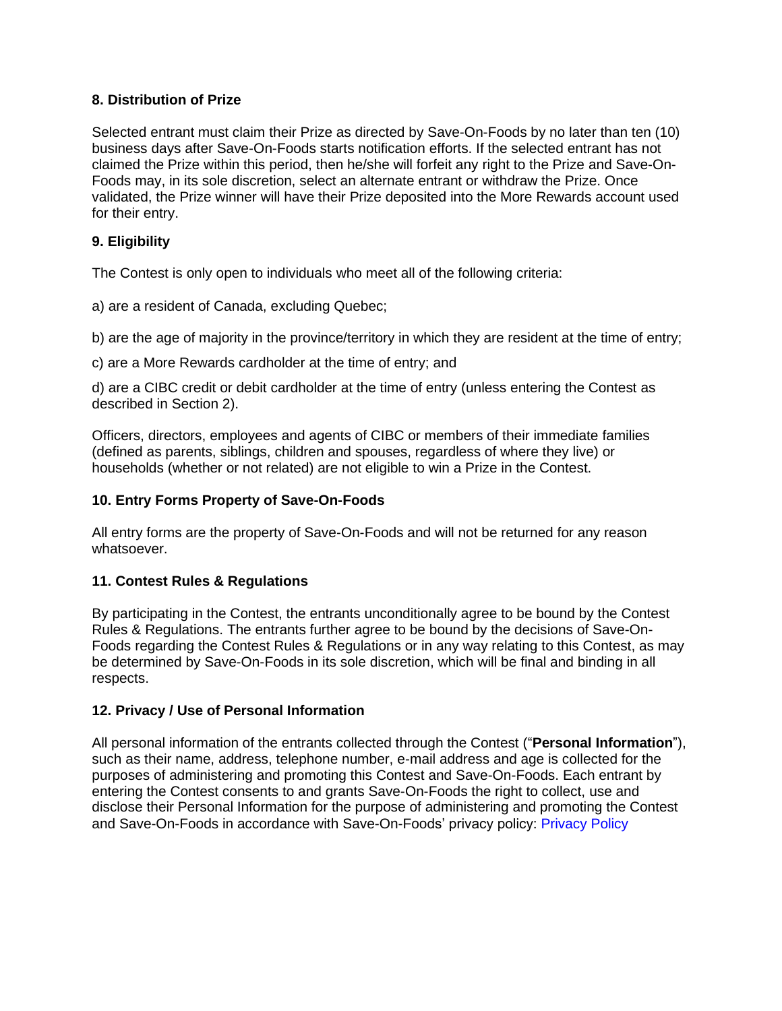## **8. Distribution of Prize**

Selected entrant must claim their Prize as directed by Save-On-Foods by no later than ten (10) business days after Save-On-Foods starts notification efforts. If the selected entrant has not claimed the Prize within this period, then he/she will forfeit any right to the Prize and Save-On-Foods may, in its sole discretion, select an alternate entrant or withdraw the Prize. Once validated, the Prize winner will have their Prize deposited into the More Rewards account used for their entry.

# **9. Eligibility**

The Contest is only open to individuals who meet all of the following criteria:

a) are a resident of Canada, excluding Quebec;

b) are the age of majority in the province/territory in which they are resident at the time of entry;

c) are a More Rewards cardholder at the time of entry; and

d) are a CIBC credit or debit cardholder at the time of entry (unless entering the Contest as described in Section 2).

Officers, directors, employees and agents of CIBC or members of their immediate families (defined as parents, siblings, children and spouses, regardless of where they live) or households (whether or not related) are not eligible to win a Prize in the Contest.

## **10. Entry Forms Property of Save-On-Foods**

All entry forms are the property of Save-On-Foods and will not be returned for any reason whatsoever.

### **11. Contest Rules & Regulations**

By participating in the Contest, the entrants unconditionally agree to be bound by the Contest Rules & Regulations. The entrants further agree to be bound by the decisions of Save-On-Foods regarding the Contest Rules & Regulations or in any way relating to this Contest, as may be determined by Save-On-Foods in its sole discretion, which will be final and binding in all respects.

### **12. Privacy / Use of Personal Information**

All personal information of the entrants collected through the Contest ("**Personal Information**"), such as their name, address, telephone number, e-mail address and age is collected for the purposes of administering and promoting this Contest and Save-On-Foods. Each entrant by entering the Contest consents to and grants Save-On-Foods the right to collect, use and disclose their Personal Information for the purpose of administering and promoting the Contest and Save-On-Foods in accordance with Save-On-Foods' privacy policy: Privacy Policy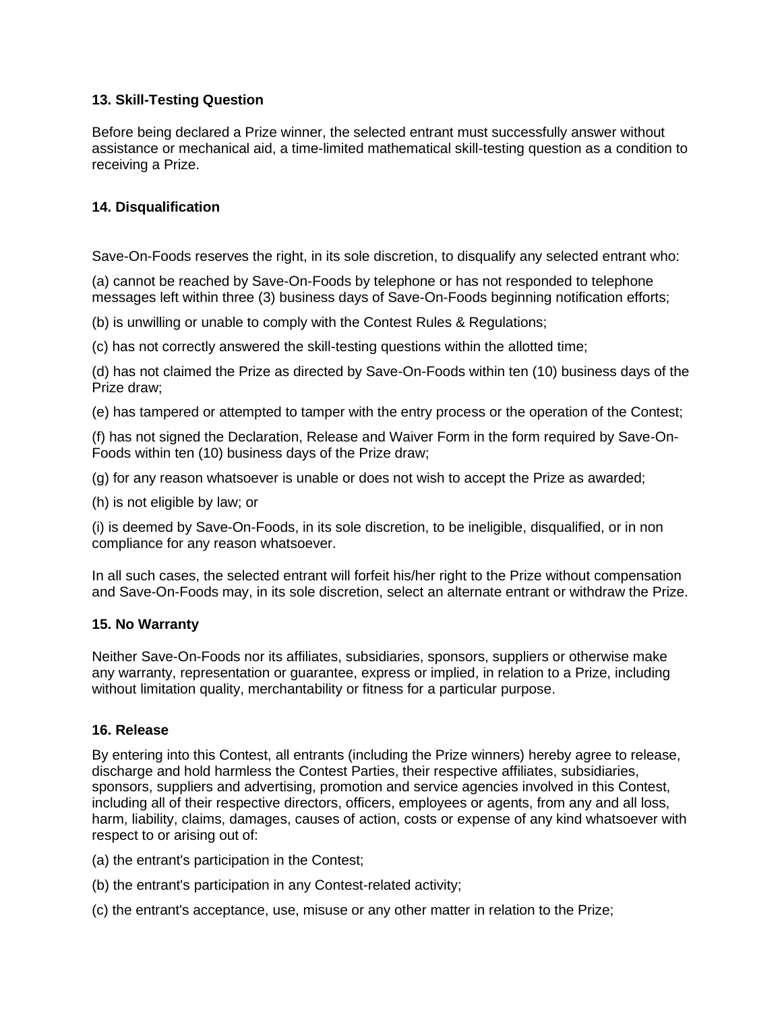# **13. Skill-Testing Question**

Before being declared a Prize winner, the selected entrant must successfully answer without assistance or mechanical aid, a time-limited mathematical skill-testing question as a condition to receiving a Prize.

## **14. Disqualification**

Save-On-Foods reserves the right, in its sole discretion, to disqualify any selected entrant who:

(a) cannot be reached by Save-On-Foods by telephone or has not responded to telephone messages left within three (3) business days of Save-On-Foods beginning notification efforts;

(b) is unwilling or unable to comply with the Contest Rules & Regulations;

(c) has not correctly answered the skill-testing questions within the allotted time;

(d) has not claimed the Prize as directed by Save-On-Foods within ten (10) business days of the Prize draw;

(e) has tampered or attempted to tamper with the entry process or the operation of the Contest;

(f) has not signed the Declaration, Release and Waiver Form in the form required by Save-On-Foods within ten (10) business days of the Prize draw;

(g) for any reason whatsoever is unable or does not wish to accept the Prize as awarded;

(h) is not eligible by law; or

(i) is deemed by Save-On-Foods, in its sole discretion, to be ineligible, disqualified, or in non compliance for any reason whatsoever.

In all such cases, the selected entrant will forfeit his/her right to the Prize without compensation and Save-On-Foods may, in its sole discretion, select an alternate entrant or withdraw the Prize.

### **15. No Warranty**

Neither Save-On-Foods nor its affiliates, subsidiaries, sponsors, suppliers or otherwise make any warranty, representation or guarantee, express or implied, in relation to a Prize, including without limitation quality, merchantability or fitness for a particular purpose.

### **16. Release**

By entering into this Contest, all entrants (including the Prize winners) hereby agree to release, discharge and hold harmless the Contest Parties, their respective affiliates, subsidiaries, sponsors, suppliers and advertising, promotion and service agencies involved in this Contest, including all of their respective directors, officers, employees or agents, from any and all loss, harm, liability, claims, damages, causes of action, costs or expense of any kind whatsoever with respect to or arising out of:

(a) the entrant's participation in the Contest;

- (b) the entrant's participation in any Contest-related activity;
- (c) the entrant's acceptance, use, misuse or any other matter in relation to the Prize;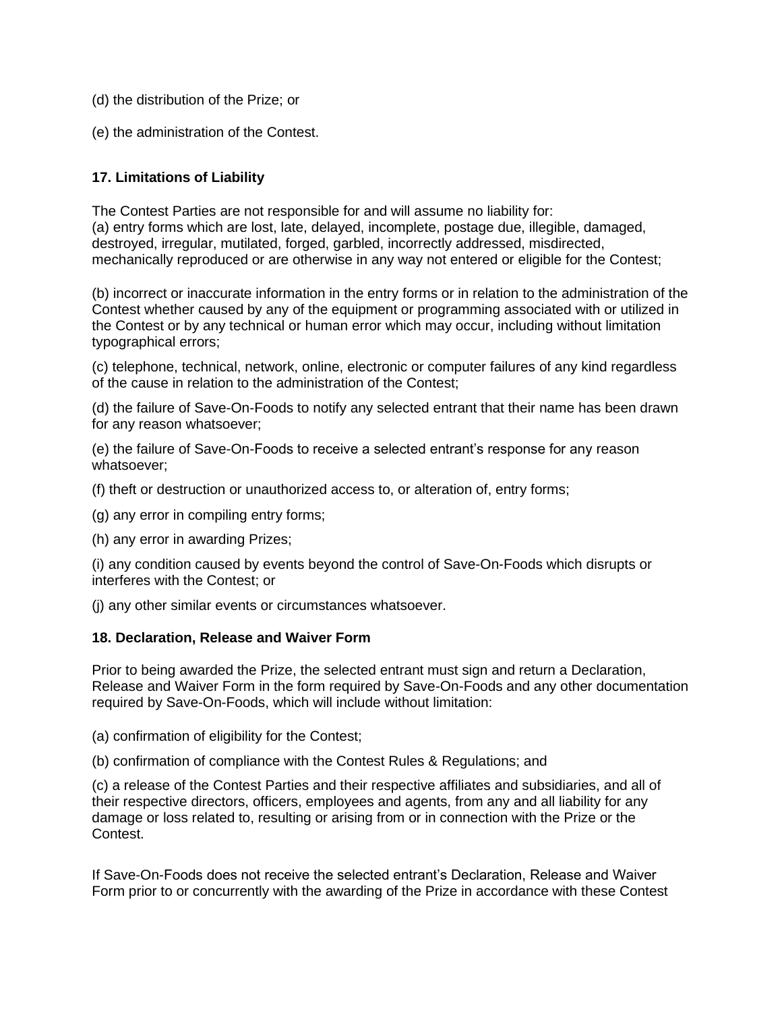- (d) the distribution of the Prize; or
- (e) the administration of the Contest.

### **17. Limitations of Liability**

The Contest Parties are not responsible for and will assume no liability for: (a) entry forms which are lost, late, delayed, incomplete, postage due, illegible, damaged, destroyed, irregular, mutilated, forged, garbled, incorrectly addressed, misdirected, mechanically reproduced or are otherwise in any way not entered or eligible for the Contest;

(b) incorrect or inaccurate information in the entry forms or in relation to the administration of the Contest whether caused by any of the equipment or programming associated with or utilized in the Contest or by any technical or human error which may occur, including without limitation typographical errors;

(c) telephone, technical, network, online, electronic or computer failures of any kind regardless of the cause in relation to the administration of the Contest;

(d) the failure of Save-On-Foods to notify any selected entrant that their name has been drawn for any reason whatsoever;

(e) the failure of Save-On-Foods to receive a selected entrant's response for any reason whatsoever;

(f) theft or destruction or unauthorized access to, or alteration of, entry forms;

- (g) any error in compiling entry forms;
- (h) any error in awarding Prizes;

(i) any condition caused by events beyond the control of Save-On-Foods which disrupts or interferes with the Contest; or

(j) any other similar events or circumstances whatsoever.

#### **18. Declaration, Release and Waiver Form**

Prior to being awarded the Prize, the selected entrant must sign and return a Declaration, Release and Waiver Form in the form required by Save-On-Foods and any other documentation required by Save-On-Foods, which will include without limitation:

- (a) confirmation of eligibility for the Contest;
- (b) confirmation of compliance with the Contest Rules & Regulations; and

(c) a release of the Contest Parties and their respective affiliates and subsidiaries, and all of their respective directors, officers, employees and agents, from any and all liability for any damage or loss related to, resulting or arising from or in connection with the Prize or the Contest.

If Save-On-Foods does not receive the selected entrant's Declaration, Release and Waiver Form prior to or concurrently with the awarding of the Prize in accordance with these Contest